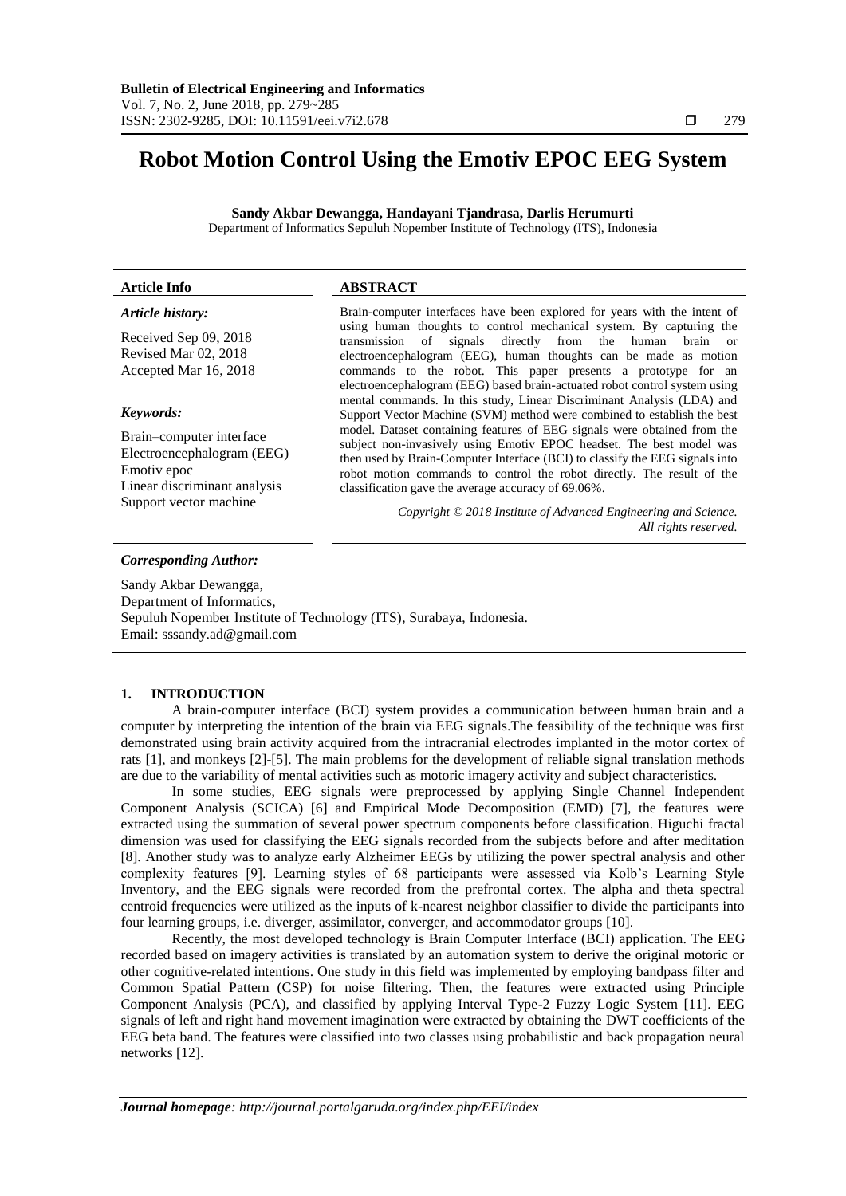# **Robot Motion Control Using the Emotiv EPOC EEG System**

**Sandy Akbar Dewangga, Handayani Tjandrasa, Darlis Herumurti** Department of Informatics Sepuluh Nopember Institute of Technology (ITS), Indonesia

# **Article Info ABSTRACT**

# *Article history:*

Received Sep 09, 2018 Revised Mar 02, 2018 Accepted Mar 16, 2018

#### *Keywords:*

Brain–computer interface Electroencephalogram (EEG) Emotiv epoc Linear discriminant analysis Support vector machine

Brain-computer interfaces have been explored for years with the intent of using human thoughts to control mechanical system. By capturing the transmission of signals directly from the human brain or electroencephalogram (EEG), human thoughts can be made as motion commands to the robot. This paper presents a prototype for an electroencephalogram (EEG) based brain-actuated robot control system using mental commands. In this study, Linear Discriminant Analysis (LDA) and Support Vector Machine (SVM) method were combined to establish the best model. Dataset containing features of EEG signals were obtained from the subject non-invasively using Emotiv EPOC headset. The best model was then used by Brain-Computer Interface (BCI) to classify the EEG signals into robot motion commands to control the robot directly. The result of the classification gave the average accuracy of 69.06%.

> *Copyright © 2018 Institute of Advanced Engineering and Science. All rights reserved.*

#### *Corresponding Author:*

Sandy Akbar Dewangga, Department of Informatics, Sepuluh Nopember Institute of Technology (ITS), Surabaya, Indonesia. Email: sssandy.ad@gmail.com

# **1. INTRODUCTION**

A brain-computer interface (BCI) system provides a communication between human brain and a computer by interpreting the intention of the brain via EEG signals.The feasibility of the technique was first demonstrated using brain activity acquired from the intracranial electrodes implanted in the motor cortex of rats [1], and monkeys [2]-[5]. The main problems for the development of reliable signal translation methods are due to the variability of mental activities such as motoric imagery activity and subject characteristics.

In some studies, EEG signals were preprocessed by applying Single Channel Independent Component Analysis (SCICA) [6] and Empirical Mode Decomposition (EMD) [7], the features were extracted using the summation of several power spectrum components before classification. Higuchi fractal dimension was used for classifying the EEG signals recorded from the subjects before and after meditation [8]. Another study was to analyze early Alzheimer EEGs by utilizing the power spectral analysis and other complexity features [9]. Learning styles of 68 participants were assessed via Kolb's Learning Style Inventory, and the EEG signals were recorded from the prefrontal cortex. The alpha and theta spectral centroid frequencies were utilized as the inputs of k-nearest neighbor classifier to divide the participants into four learning groups, i.e. diverger, assimilator, converger, and accommodator groups [10].

Recently, the most developed technology is Brain Computer Interface (BCI) application. The EEG recorded based on imagery activities is translated by an automation system to derive the original motoric or other cognitive-related intentions. One study in this field was implemented by employing bandpass filter and Common Spatial Pattern (CSP) for noise filtering. Then, the features were extracted using Principle Component Analysis (PCA), and classified by applying Interval Type-2 Fuzzy Logic System [11]. EEG signals of left and right hand movement imagination were extracted by obtaining the DWT coefficients of the EEG beta band. The features were classified into two classes using probabilistic and back propagation neural networks [12].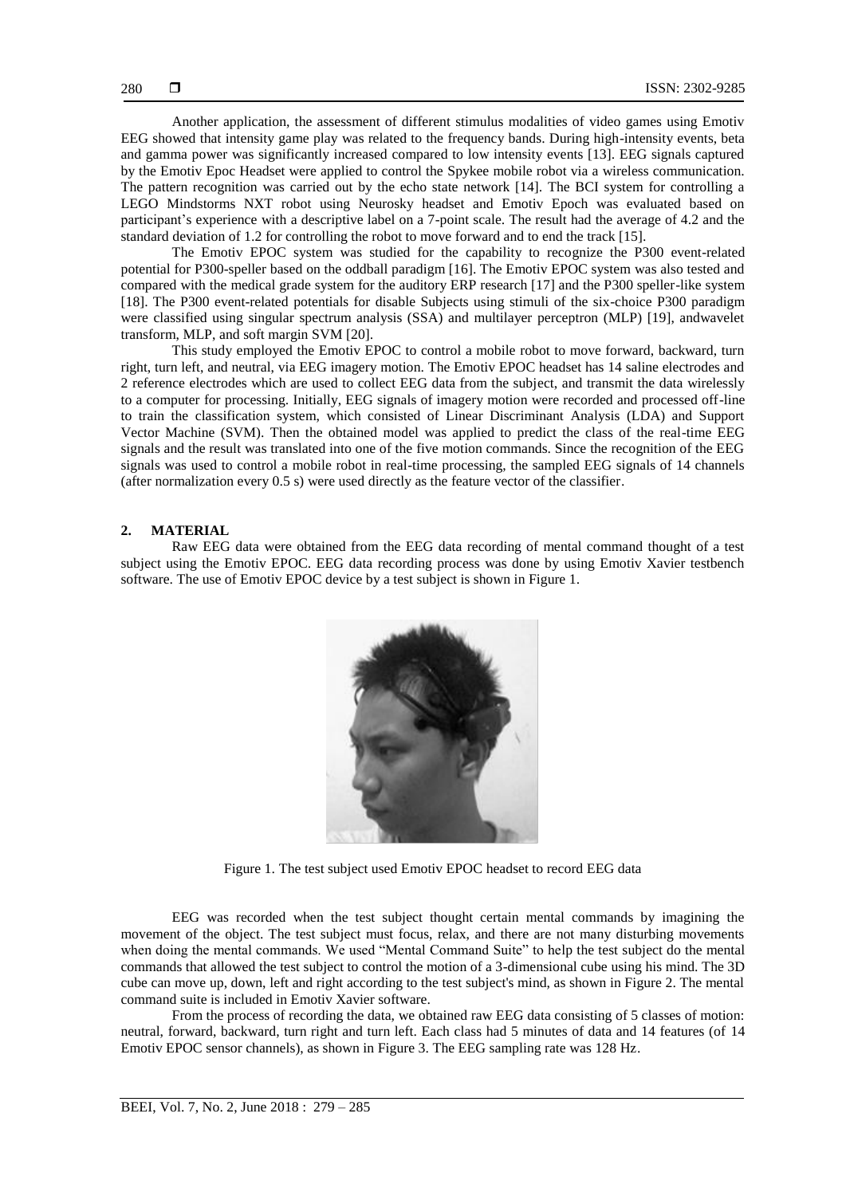Another application, the assessment of different stimulus modalities of video games using Emotiv EEG showed that intensity game play was related to the frequency bands. During high-intensity events, beta and gamma power was significantly increased compared to low intensity events [13]. EEG signals captured by the Emotiv Epoc Headset were applied to control the Spykee mobile robot via a wireless communication. The pattern recognition was carried out by the echo state network [14]. The BCI system for controlling a LEGO Mindstorms NXT robot using Neurosky headset and Emotiv Epoch was evaluated based on participant's experience with a descriptive label on a 7-point scale. The result had the average of 4.2 and the standard deviation of 1.2 for controlling the robot to move forward and to end the track [15].

The Emotiv EPOC system was studied for the capability to recognize the P300 event-related potential for P300-speller based on the oddball paradigm [16]. The Emotiv EPOC system was also tested and compared with the medical grade system for the auditory ERP research [17] and the P300 speller-like system [18]. The P300 event-related potentials for disable Subjects using stimuli of the six-choice P300 paradigm were classified using singular spectrum analysis (SSA) and multilayer perceptron (MLP) [19], andwavelet transform, MLP, and soft margin SVM [20].

This study employed the Emotiv EPOC to control a mobile robot to move forward, backward, turn right, turn left, and neutral, via EEG imagery motion. The Emotiv EPOC headset has 14 saline electrodes and 2 reference electrodes which are used to collect EEG data from the subject, and transmit the data wirelessly to a computer for processing. Initially, EEG signals of imagery motion were recorded and processed off-line to train the classification system, which consisted of Linear Discriminant Analysis (LDA) and Support Vector Machine (SVM). Then the obtained model was applied to predict the class of the real-time EEG signals and the result was translated into one of the five motion commands. Since the recognition of the EEG signals was used to control a mobile robot in real-time processing, the sampled EEG signals of 14 channels (after normalization every 0.5 s) were used directly as the feature vector of the classifier.

### **2. MATERIAL**

Raw EEG data were obtained from the EEG data recording of mental command thought of a test subject using the Emotiv EPOC. EEG data recording process was done by using Emotiv Xavier testbench software. The use of Emotiv EPOC device by a test subject is shown in Figure 1.



Figure 1. The test subject used Emotiv EPOC headset to record EEG data

EEG was recorded when the test subject thought certain mental commands by imagining the movement of the object. The test subject must focus, relax, and there are not many disturbing movements when doing the mental commands. We used "Mental Command Suite" to help the test subject do the mental commands that allowed the test subject to control the motion of a 3-dimensional cube using his mind. The 3D cube can move up, down, left and right according to the test subject's mind, as shown in Figure 2. The mental command suite is included in Emotiv Xavier software.

From the process of recording the data, we obtained raw EEG data consisting of 5 classes of motion: neutral, forward, backward, turn right and turn left. Each class had 5 minutes of data and 14 features (of 14 Emotiv EPOC sensor channels), as shown in Figure 3. The EEG sampling rate was 128 Hz.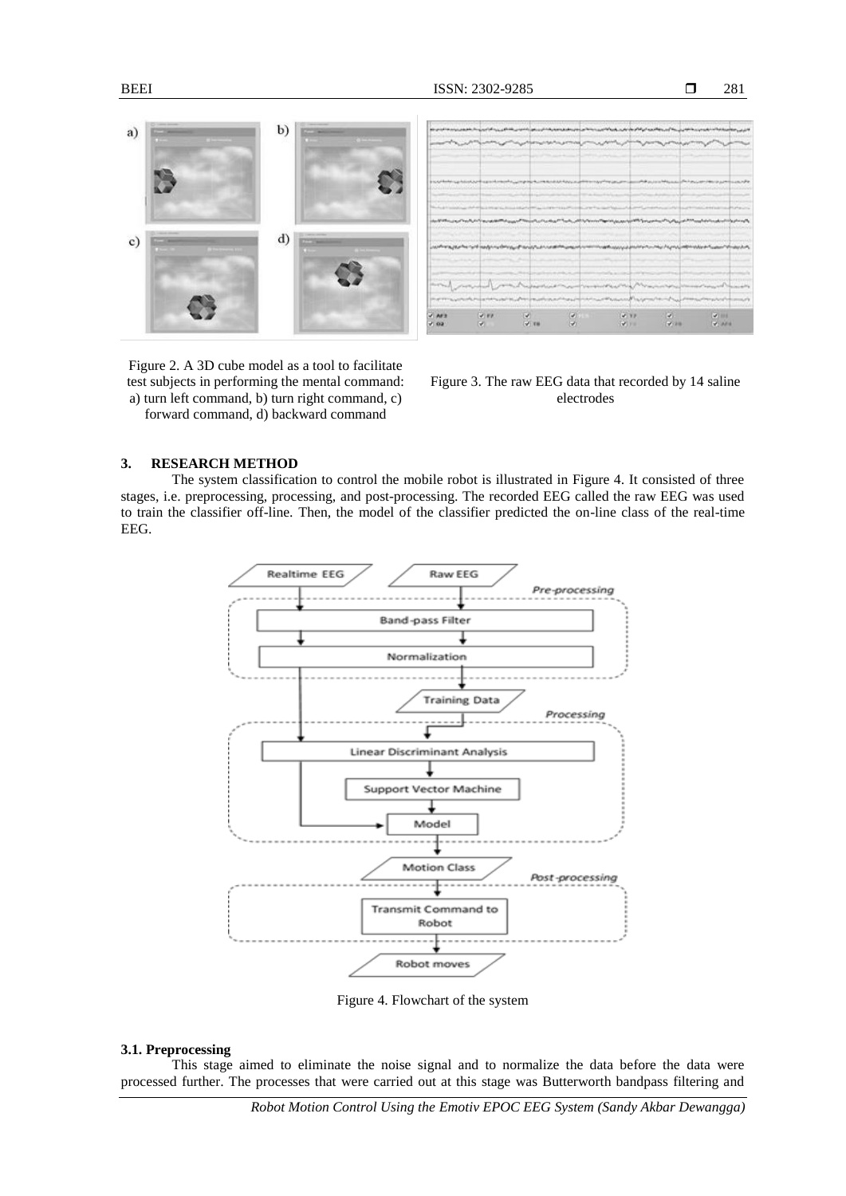281



| $V$ AFS<br>$-1.02$ | 37.00<br>w.                                                                                                                                                                                                                  | w.<br>$9 - 10$ | 45<br>×.           | 4.33<br>2.70                                                                                                                                                                                                                  | $\mathcal{L}$<br><b>VOID</b> | $-7.001$<br><b>VENTS</b>                         |
|--------------------|------------------------------------------------------------------------------------------------------------------------------------------------------------------------------------------------------------------------------|----------------|--------------------|-------------------------------------------------------------------------------------------------------------------------------------------------------------------------------------------------------------------------------|------------------------------|--------------------------------------------------|
|                    |                                                                                                                                                                                                                              |                |                    | กลุ่มกับและพ.ศาราชาการเกิดเกล้านและการการเกิดเกล้านๆทางกับการในประกอบกับการการกินทาง                                                                                                                                          |                              |                                                  |
|                    |                                                                                                                                                                                                                              |                |                    | and property the construction of the construction of the construction of the construction of the construction of                                                                                                              |                              |                                                  |
|                    |                                                                                                                                                                                                                              |                |                    |                                                                                                                                                                                                                               |                              |                                                  |
|                    |                                                                                                                                                                                                                              |                |                    |                                                                                                                                                                                                                               |                              |                                                  |
|                    |                                                                                                                                                                                                                              |                |                    | juurkansjesta rotkastiivattinessa tardutusta maailmusestuvan maakassussa kuininnumista palattivatse mussintivastum.                                                                                                           |                              |                                                  |
|                    |                                                                                                                                                                                                                              |                |                    | بالوحدان والمتعادة المعارفة المتعربية التقريبات التوافيل المتعارف المتعارف المتعارف المتعارف المتعارف المتعارف المتعارف المتعارف المتعارف المتعارف المتعارف المتعارف المتعارف المتعارف المتعارف المتعارف المتعارف المتعارف ال |                              |                                                  |
|                    |                                                                                                                                                                                                                              |                |                    |                                                                                                                                                                                                                               |                              |                                                  |
|                    |                                                                                                                                                                                                                              |                |                    |                                                                                                                                                                                                                               |                              |                                                  |
|                    | provident such as other from the such a complete than the constitution of the state of                                                                                                                                       |                |                    |                                                                                                                                                                                                                               |                              | <b>Machine Massach Microsoft Holland Country</b> |
|                    |                                                                                                                                                                                                                              |                |                    |                                                                                                                                                                                                                               |                              |                                                  |
|                    |                                                                                                                                                                                                                              |                |                    |                                                                                                                                                                                                                               |                              |                                                  |
|                    |                                                                                                                                                                                                                              |                | senyatahusanni jir |                                                                                                                                                                                                                               |                              |                                                  |
|                    | کارنی انگلیسی از این استاده استاده از این استادهای این این استادهای استادهای استادهای استادهای استادهای استادهای استادهای استادهای استادهای استادهای استادهای استادهای استادهای استادهای استادهای استادهای استادهای استادهای |                |                    |                                                                                                                                                                                                                               |                              |                                                  |

Figure 2. A 3D cube model as a tool to facilitate test subjects in performing the mental command: a) turn left command, b) turn right command, c) forward command, d) backward command

Figure 3. The raw EEG data that recorded by 14 saline electrodes

# **3. RESEARCH METHOD**

The system classification to control the mobile robot is illustrated in Figure 4. It consisted of three stages, i.e. preprocessing, processing, and post-processing. The recorded EEG called the raw EEG was used to train the classifier off-line. Then, the model of the classifier predicted the on-line class of the real-time EEG.



Figure 4. Flowchart of the system

## **3.1. Preprocessing**

This stage aimed to eliminate the noise signal and to normalize the data before the data were processed further. The processes that were carried out at this stage was Butterworth bandpass filtering and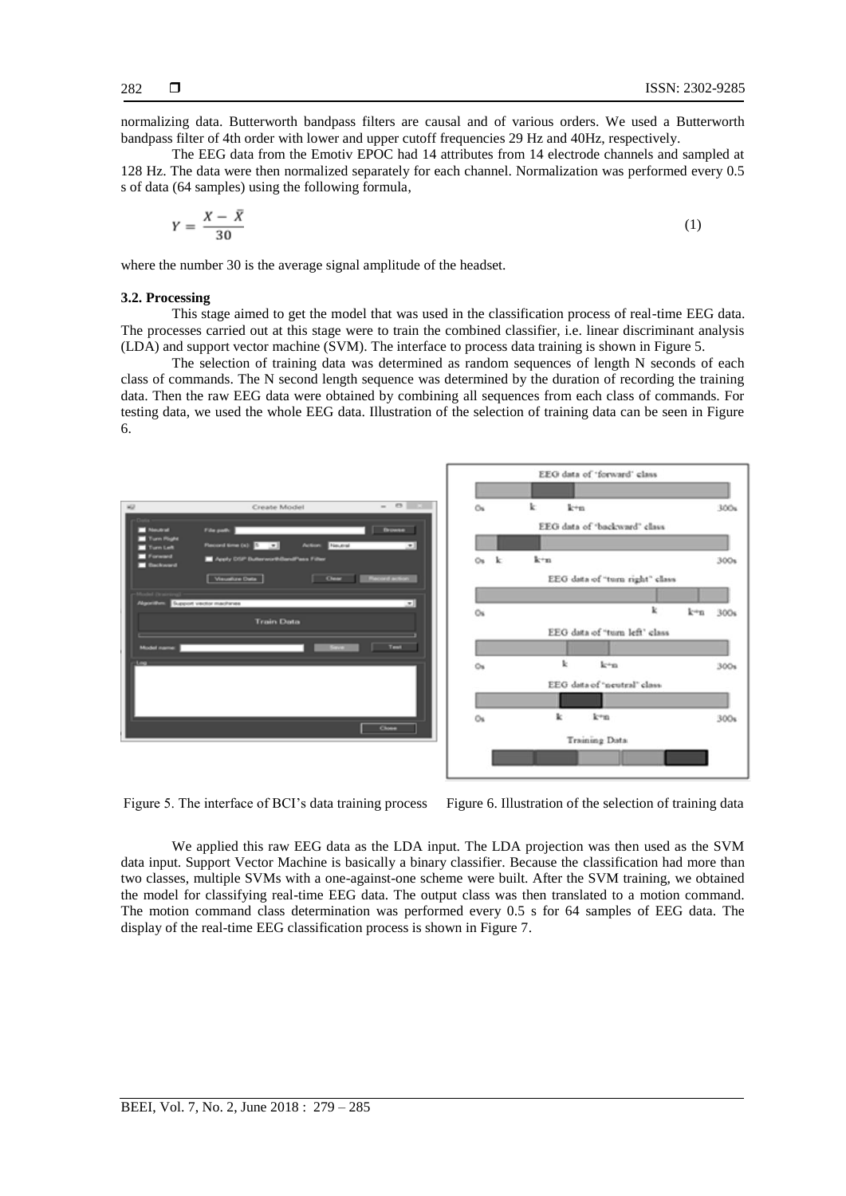normalizing data. Butterworth bandpass filters are causal and of various orders. We used a Butterworth bandpass filter of 4th order with lower and upper cutoff frequencies 29 Hz and 40Hz, respectively.

The EEG data from the Emotiv EPOC had 14 attributes from 14 electrode channels and sampled at 128 Hz. The data were then normalized separately for each channel. Normalization was performed every 0.5 s of data (64 samples) using the following formula,

$$
Y = \frac{X - \bar{X}}{30} \tag{1}
$$

where the number 30 is the average signal amplitude of the headset.

#### **3.2. Processing**

This stage aimed to get the model that was used in the classification process of real-time EEG data. The processes carried out at this stage were to train the combined classifier, i.e. linear discriminant analysis (LDA) and support vector machine (SVM). The interface to process data training is shown in Figure 5.

The selection of training data was determined as random sequences of length N seconds of each class of commands. The N second length sequence was determined by the duration of recording the training data. Then the raw EEG data were obtained by combining all sequences from each class of commands. For testing data, we used the whole EEG data. Illustration of the selection of training data can be seen in Figure 6.



Figure 5. The interface of BCI's data training process Figure 6. Illustration of the selection of training data

We applied this raw EEG data as the LDA input. The LDA projection was then used as the SVM data input. Support Vector Machine is basically a binary classifier. Because the classification had more than two classes, multiple SVMs with a one-against-one scheme were built. After the SVM training, we obtained the model for classifying real-time EEG data. The output class was then translated to a motion command. The motion command class determination was performed every 0.5 s for 64 samples of EEG data. The display of the real-time EEG classification process is shown in Figure 7.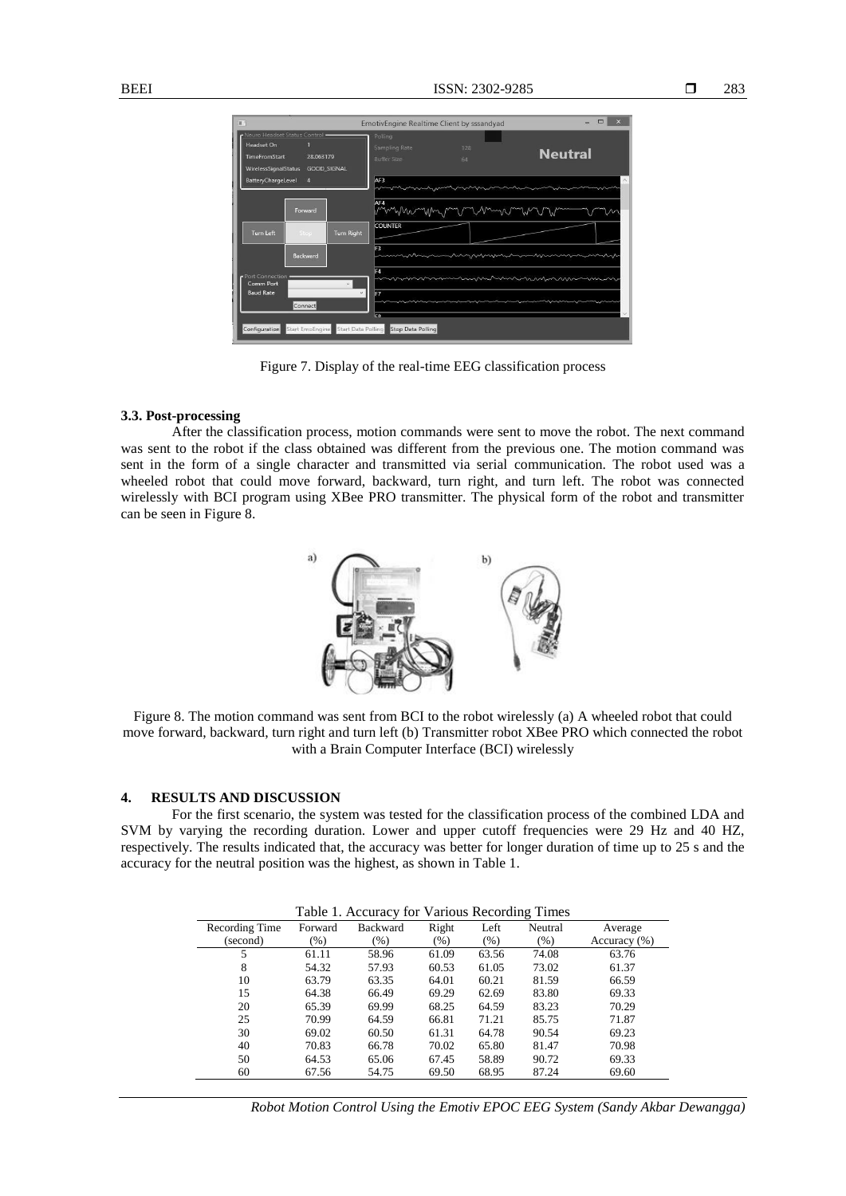| 100                                                                                                                      | EmotivEngine Realtime Client by sssandyad                   | ×                                  |
|--------------------------------------------------------------------------------------------------------------------------|-------------------------------------------------------------|------------------------------------|
| Neuro Headset Status Control -<br>Headset On<br><b>TimeFromStart</b><br>28.063179<br>WirelessSignalStatus<br>GOOD_SIGNAL | Polling<br>Sampling Rate<br>128<br><b>Buffer Size</b><br>64 | <b>Neutral</b>                     |
| <b>BatteryChargeLevel</b><br>$\overline{A}$                                                                              | AF3                                                         |                                    |
| Forward                                                                                                                  | AF4                                                         | Munder-Mulin and remain Mulin Mund |
| <b>Turn Right</b><br><b>Turn Left</b><br>Stop                                                                            | <b>COUNTER</b>                                              |                                    |
| <b>Backward</b>                                                                                                          | F3                                                          |                                    |
| Port Connection<br>Comm Port<br>o.<br><b>Baud Rate</b><br>Connect                                                        | F4<br>F7                                                    |                                    |
| Configuration Start EmoEngine Start Data Polling Stop Data Polling                                                       | Eg                                                          |                                    |

Figure 7. Display of the real-time EEG classification process

### **3.3. Post-processing**

After the classification process, motion commands were sent to move the robot. The next command was sent to the robot if the class obtained was different from the previous one. The motion command was sent in the form of a single character and transmitted via serial communication. The robot used was a wheeled robot that could move forward, backward, turn right, and turn left. The robot was connected wirelessly with BCI program using XBee PRO transmitter. The physical form of the robot and transmitter can be seen in Figure 8.



Figure 8. The motion command was sent from BCI to the robot wirelessly (a) A wheeled robot that could move forward, backward, turn right and turn left (b) Transmitter robot XBee PRO which connected the robot with a Brain Computer Interface (BCI) wirelessly

## **4. RESULTS AND DISCUSSION**

For the first scenario, the system was tested for the classification process of the combined LDA and SVM by varying the recording duration. Lower and upper cutoff frequencies were 29 Hz and 40 HZ, respectively. The results indicated that, the accuracy was better for longer duration of time up to 25 s and the accuracy for the neutral position was the highest, as shown in Table 1.

| Table 1. Accuracy for Various Recording Times |         |                 |         |       |         |              |
|-----------------------------------------------|---------|-----------------|---------|-------|---------|--------------|
| Recording Time                                | Forward | <b>Backward</b> | Right   | Left  | Neutral | Average      |
| (second)                                      | $(\%)$  | (% )            | $(\% )$ | (% )  | (% )    | Accuracy (%) |
| 5                                             | 61.11   | 58.96           | 61.09   | 63.56 | 74.08   | 63.76        |
| 8                                             | 54.32   | 57.93           | 60.53   | 61.05 | 73.02   | 61.37        |
| 10                                            | 63.79   | 63.35           | 64.01   | 60.21 | 81.59   | 66.59        |
| 15                                            | 64.38   | 66.49           | 69.29   | 62.69 | 83.80   | 69.33        |
| 20                                            | 65.39   | 69.99           | 68.25   | 64.59 | 83.23   | 70.29        |
| 25                                            | 70.99   | 64.59           | 66.81   | 71.21 | 85.75   | 71.87        |
| 30                                            | 69.02   | 60.50           | 61.31   | 64.78 | 90.54   | 69.23        |
| 40                                            | 70.83   | 66.78           | 70.02   | 65.80 | 81.47   | 70.98        |
| 50                                            | 64.53   | 65.06           | 67.45   | 58.89 | 90.72   | 69.33        |
| 60                                            | 67.56   | 54.75           | 69.50   | 68.95 | 87.24   | 69.60        |

*Robot Motion Control Using the Emotiv EPOC EEG System (Sandy Akbar Dewangga)*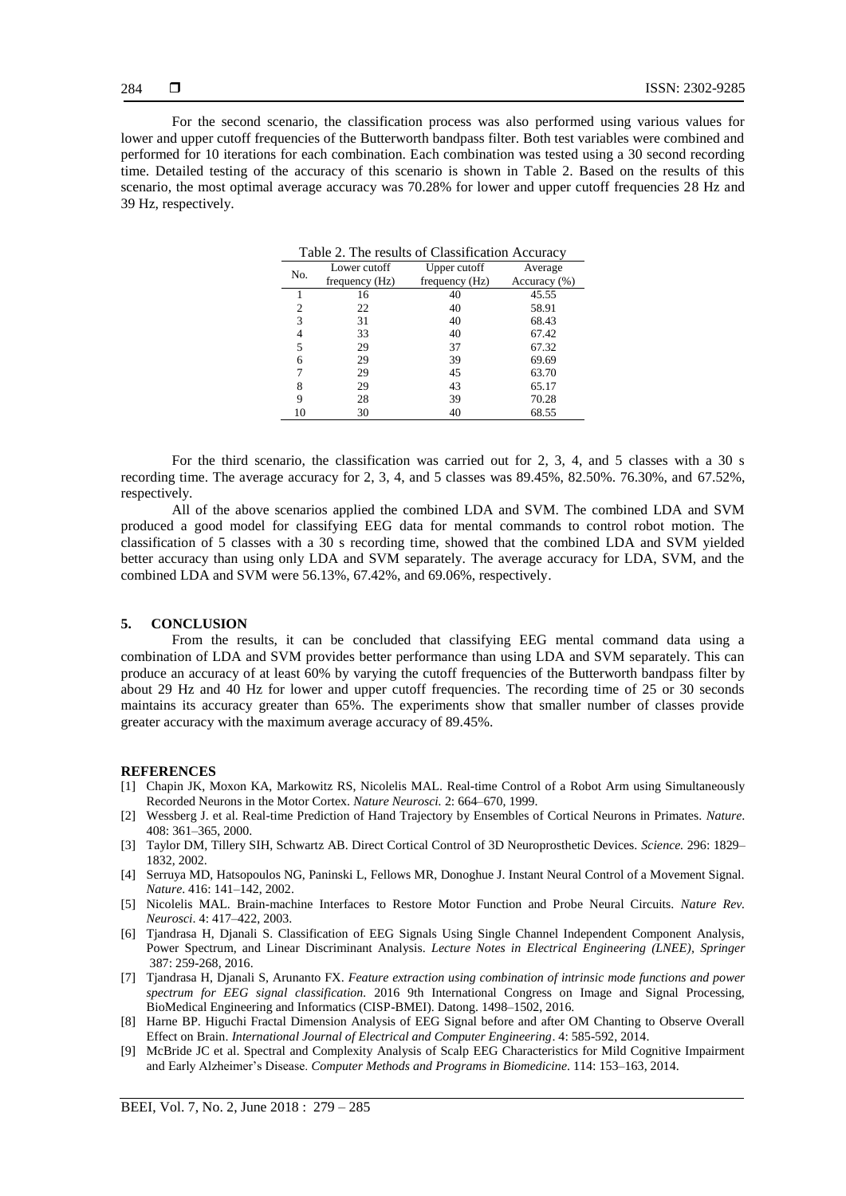For the second scenario, the classification process was also performed using various values for lower and upper cutoff frequencies of the Butterworth bandpass filter. Both test variables were combined and performed for 10 iterations for each combination. Each combination was tested using a 30 second recording time. Detailed testing of the accuracy of this scenario is shown in Table 2. Based on the results of this scenario, the most optimal average accuracy was 70.28% for lower and upper cutoff frequencies 28 Hz and 39 Hz, respectively.

| Table 2. The results of Classification Accuracy |                |                |              |  |  |
|-------------------------------------------------|----------------|----------------|--------------|--|--|
| No.                                             | Lower cutoff   | Upper cutoff   | Average      |  |  |
|                                                 | frequency (Hz) | frequency (Hz) | Accuracy (%) |  |  |
|                                                 | 16             | 40             | 45.55        |  |  |
| $\overline{c}$                                  | 22             | 40             | 58.91        |  |  |
| 3                                               | 31             | 40             | 68.43        |  |  |
| 4                                               | 33             | 40             | 67.42        |  |  |
| 5                                               | 29             | 37             | 67.32        |  |  |
| 6                                               | 29             | 39             | 69.69        |  |  |
| 7                                               | 29             | 45             | 63.70        |  |  |
| 8                                               | 29             | 43             | 65.17        |  |  |
| 9                                               | 28             | 39             | 70.28        |  |  |
| 10                                              | 30             | 40             | 68.55        |  |  |

For the third scenario, the classification was carried out for 2, 3, 4, and 5 classes with a 30 s recording time. The average accuracy for 2, 3, 4, and 5 classes was 89.45%, 82.50%. 76.30%, and 67.52%, respectively.

All of the above scenarios applied the combined LDA and SVM. The combined LDA and SVM produced a good model for classifying EEG data for mental commands to control robot motion. The classification of 5 classes with a 30 s recording time, showed that the combined LDA and SVM yielded better accuracy than using only LDA and SVM separately. The average accuracy for LDA, SVM, and the combined LDA and SVM were 56.13%, 67.42%, and 69.06%, respectively.

#### **5. CONCLUSION**

From the results, it can be concluded that classifying EEG mental command data using a combination of LDA and SVM provides better performance than using LDA and SVM separately. This can produce an accuracy of at least 60% by varying the cutoff frequencies of the Butterworth bandpass filter by about 29 Hz and 40 Hz for lower and upper cutoff frequencies. The recording time of 25 or 30 seconds maintains its accuracy greater than 65%. The experiments show that smaller number of classes provide greater accuracy with the maximum average accuracy of 89.45%.

#### **REFERENCES**

- [1] Chapin JK, Moxon KA, Markowitz RS, Nicolelis MAL. Real-time Control of a Robot Arm using Simultaneously Recorded Neurons in the Motor Cortex. *Nature Neurosci.* 2: 664–670, 1999.
- [2] Wessberg J. et al. Real-time Prediction of Hand Trajectory by Ensembles of Cortical Neurons in Primates. *Nature*. 408: 361–365, 2000.
- [3] Taylor DM, Tillery SIH, Schwartz AB. Direct Cortical Control of 3D Neuroprosthetic Devices. *Science.* 296: 1829– 1832, 2002.
- [4] Serruya MD, Hatsopoulos NG, Paninski L, Fellows MR, Donoghue J. Instant Neural Control of a Movement Signal. *Nature*. 416: 141–142, 2002.
- [5] Nicolelis MAL. Brain-machine Interfaces to Restore Motor Function and Probe Neural Circuits. *Nature Rev. Neurosci*. 4: 417–422, 2003.
- [6] Tjandrasa H, Djanali S. Classification of EEG Signals Using Single Channel Independent Component Analysis, Power Spectrum, and Linear Discriminant Analysis. *Lecture Notes in Electrical Engineering (LNEE), Springer* 387: 259-268, 2016.
- [7] Tjandrasa H, Djanali S, Arunanto FX. *Feature extraction using combination of intrinsic mode functions and power spectrum for EEG signal classification.* 2016 9th International Congress on Image and Signal Processing, BioMedical Engineering and Informatics (CISP-BMEI). Datong. 1498–1502, 2016.
- [8] Harne BP. Higuchi Fractal Dimension Analysis of EEG Signal before and after OM Chanting to Observe Overall Effect on Brain. *International Journal of Electrical and Computer Engineering*. 4: 585-592, 2014.
- [9] McBride JC et al. Spectral and Complexity Analysis of Scalp EEG Characteristics for Mild Cognitive Impairment and Early Alzheimer's Disease. *Computer Methods and Programs in Biomedicine*. 114: 153–163, 2014.